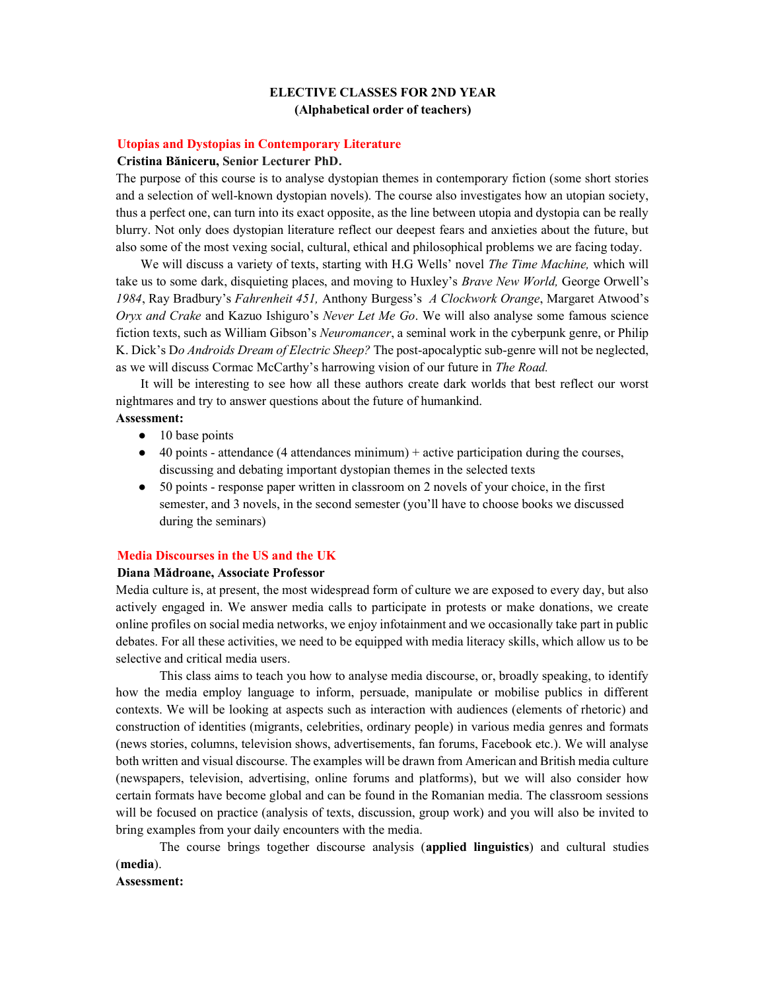# ELECTIVE CLASSES FOR 2ND YEAR (Alphabetical order of teachers)

# Utopias and Dystopias in Contemporary Literature

#### Cristina Băniceru, Senior Lecturer PhD.

The purpose of this course is to analyse dystopian themes in contemporary fiction (some short stories and a selection of well-known dystopian novels). The course also investigates how an utopian society, thus a perfect one, can turn into its exact opposite, as the line between utopia and dystopia can be really blurry. Not only does dystopian literature reflect our deepest fears and anxieties about the future, but also some of the most vexing social, cultural, ethical and philosophical problems we are facing today.

We will discuss a variety of texts, starting with H.G Wells' novel *The Time Machine*, which will take us to some dark, disquieting places, and moving to Huxley's Brave New World, George Orwell's 1984, Ray Bradbury's Fahrenheit 451, Anthony Burgess's A Clockwork Orange, Margaret Atwood's Oryx and Crake and Kazuo Ishiguro's Never Let Me Go. We will also analyse some famous science fiction texts, such as William Gibson's Neuromancer, a seminal work in the cyberpunk genre, or Philip K. Dick's Do Androids Dream of Electric Sheep? The post-apocalyptic sub-genre will not be neglected, as we will discuss Cormac McCarthy's harrowing vision of our future in The Road.

It will be interesting to see how all these authors create dark worlds that best reflect our worst nightmares and try to answer questions about the future of humankind.

#### Assessment:

- $\bullet$  10 base points
- $\bullet$  40 points attendance (4 attendances minimum) + active participation during the courses, discussing and debating important dystopian themes in the selected texts
- 50 points response paper written in classroom on 2 novels of your choice, in the first semester, and 3 novels, in the second semester (you'll have to choose books we discussed during the seminars)

## Media Discourses in the US and the UK

## Diana Mădroane, Associate Professor

Media culture is, at present, the most widespread form of culture we are exposed to every day, but also actively engaged in. We answer media calls to participate in protests or make donations, we create online profiles on social media networks, we enjoy infotainment and we occasionally take part in public debates. For all these activities, we need to be equipped with media literacy skills, which allow us to be selective and critical media users.

This class aims to teach you how to analyse media discourse, or, broadly speaking, to identify how the media employ language to inform, persuade, manipulate or mobilise publics in different contexts. We will be looking at aspects such as interaction with audiences (elements of rhetoric) and construction of identities (migrants, celebrities, ordinary people) in various media genres and formats (news stories, columns, television shows, advertisements, fan forums, Facebook etc.). We will analyse both written and visual discourse. The examples will be drawn from American and British media culture (newspapers, television, advertising, online forums and platforms), but we will also consider how certain formats have become global and can be found in the Romanian media. The classroom sessions will be focused on practice (analysis of texts, discussion, group work) and you will also be invited to bring examples from your daily encounters with the media.

The course brings together discourse analysis (applied linguistics) and cultural studies (media).

#### Assessment: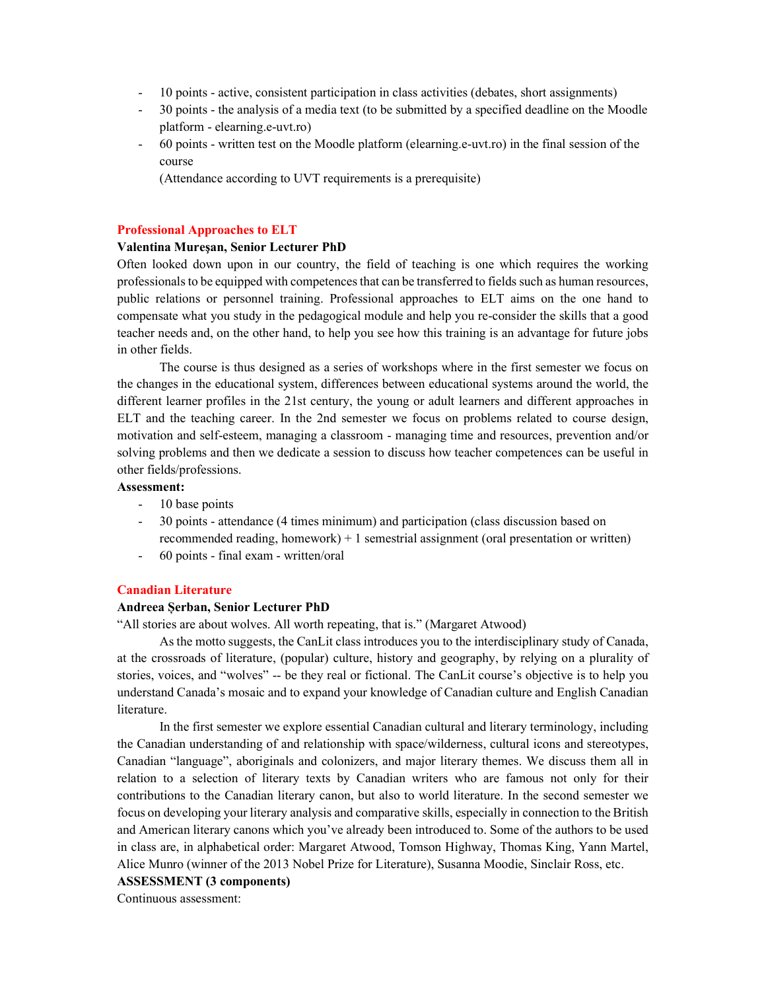- 10 points active, consistent participation in class activities (debates, short assignments)
- 30 points the analysis of a media text (to be submitted by a specified deadline on the Moodle platform - elearning.e-uvt.ro)
- 60 points written test on the Moodle platform (elearning.e-uvt.ro) in the final session of the course

(Attendance according to UVT requirements is a prerequisite)

## Professional Approaches to ELT

# Valentina Mureşan, Senior Lecturer PhD

Often looked down upon in our country, the field of teaching is one which requires the working professionals to be equipped with competences that can be transferred to fields such as human resources, public relations or personnel training. Professional approaches to ELT aims on the one hand to compensate what you study in the pedagogical module and help you re-consider the skills that a good teacher needs and, on the other hand, to help you see how this training is an advantage for future jobs in other fields.

The course is thus designed as a series of workshops where in the first semester we focus on the changes in the educational system, differences between educational systems around the world, the different learner profiles in the 21st century, the young or adult learners and different approaches in ELT and the teaching career. In the 2nd semester we focus on problems related to course design, motivation and self-esteem, managing a classroom - managing time and resources, prevention and/or solving problems and then we dedicate a session to discuss how teacher competences can be useful in other fields/professions.

# Assessment:

- 10 base points
- 30 points attendance (4 times minimum) and participation (class discussion based on recommended reading, homework) + 1 semestrial assignment (oral presentation or written)
- 60 points final exam written/oral

## Canadian Literature

#### Andreea Șerban, Senior Lecturer PhD

"All stories are about wolves. All worth repeating, that is." (Margaret Atwood)

As the motto suggests, the CanLit class introduces you to the interdisciplinary study of Canada, at the crossroads of literature, (popular) culture, history and geography, by relying on a plurality of stories, voices, and "wolves" -- be they real or fictional. The CanLit course's objective is to help you understand Canada's mosaic and to expand your knowledge of Canadian culture and English Canadian literature.

In the first semester we explore essential Canadian cultural and literary terminology, including the Canadian understanding of and relationship with space/wilderness, cultural icons and stereotypes, Canadian "language", aboriginals and colonizers, and major literary themes. We discuss them all in relation to a selection of literary texts by Canadian writers who are famous not only for their contributions to the Canadian literary canon, but also to world literature. In the second semester we focus on developing your literary analysis and comparative skills, especially in connection to the British and American literary canons which you've already been introduced to. Some of the authors to be used in class are, in alphabetical order: Margaret Atwood, Tomson Highway, Thomas King, Yann Martel, Alice Munro (winner of the 2013 Nobel Prize for Literature), Susanna Moodie, Sinclair Ross, etc.

ASSESSMENT (3 components)

Continuous assessment: